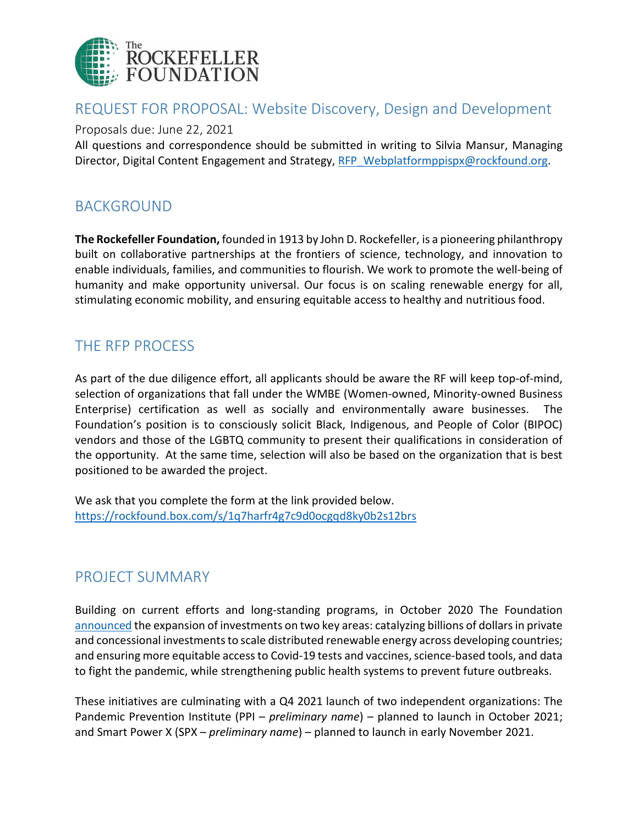

## REQUEST FOR PROPOSAL: Website Discovery, Design and Development

Proposals due: June 22, 2021

All questions and correspondence should be submitted in writing to Silvia Mansur, Managing Director, Digital Content Engagement and Strategy, [RFP\\_Webplatformppispx@rockfound.org.](mailto:RFP_Webplatformppispx@rockfound.org)

# BACKGROUND

**The Rockefeller Foundation,** founded in 1913 by John D. Rockefeller, is a pioneering philanthropy built on collaborative partnerships at the frontiers of science, technology, and innovation to enable individuals, families, and communities to flourish. We work to promote the well-being of humanity and make opportunity universal. Our focus is on scaling renewable energy for all, stimulating economic mobility, and ensuring equitable access to healthy and nutritious food.

# THE RFP PROCESS

As part of the due diligence effort, all applicants should be aware the RF will keep top-of-mind, selection of organizations that fall under the WMBE (Women-owned, Minority-owned Business Enterprise) certification as well as socially and environmentally aware businesses. The Foundation's position is to consciously solicit Black, Indigenous, and People of Color (BIPOC) vendors and those of the LGBTQ community to present their qualifications in consideration of the opportunity. At the same time, selection will also be based on the organization that is best positioned to be awarded the project.

We ask that you complete the form at the link provided below. <https://rockfound.box.com/s/1q7harfr4g7c9d0ocgqd8ky0b2s12brs>

# PROJECT SUMMARY

Building on current efforts and long-standing programs, in October 2020 The Foundation [announced](https://www.rockefellerfoundation.org/news/the-rockefeller-foundation-commits-usd1-billion-to-catalyze-a-green-recovery-from-pandemic/) the expansion of investments on two key areas: catalyzing billions of dollars in private and concessional investments to scale distributed renewable energy across developing countries; and ensuring more equitable access to Covid-19 tests and vaccines, science-based tools, and data to fight the pandemic, while strengthening public health systems to prevent future outbreaks.

These initiatives are culminating with a Q4 2021 launch of two independent organizations: The Pandemic Prevention Institute (PPI – *preliminary name*) – planned to launch in October 2021; and Smart Power X (SPX – *preliminary name*) – planned to launch in early November 2021.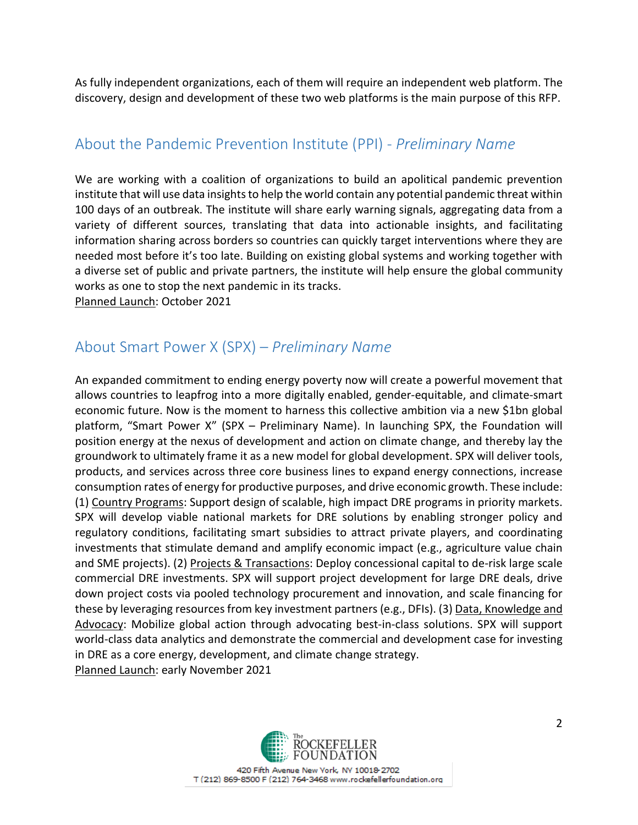As fully independent organizations, each of them will require an independent web platform. The discovery, design and development of these two web platforms is the main purpose of this RFP.

# About the Pandemic Prevention Institute (PPI) - *Preliminary Name*

We are working with a coalition of organizations to build an apolitical pandemic prevention institute that will use data insights to help the world contain any potential pandemic threat within 100 days of an outbreak. The institute will share early warning signals, aggregating data from a variety of different sources, translating that data into actionable insights, and facilitating information sharing across borders so countries can quickly target interventions where they are needed most before it's too late. Building on existing global systems and working together with a diverse set of public and private partners, the institute will help ensure the global community works as one to stop the next pandemic in its tracks.

Planned Launch: October 2021

# About Smart Power X (SPX) – *Preliminary Name*

An expanded commitment to ending energy poverty now will create a powerful movement that allows countries to leapfrog into a more digitally enabled, gender-equitable, and climate-smart economic future. Now is the moment to harness this collective ambition via a new \$1bn global platform, "Smart Power X" (SPX – Preliminary Name). In launching SPX, the Foundation will position energy at the nexus of development and action on climate change, and thereby lay the groundwork to ultimately frame it as a new model for global development. SPX will deliver tools, products, and services across three core business lines to expand energy connections, increase consumption rates of energy for productive purposes, and drive economic growth. These include: (1) Country Programs: Support design of scalable, high impact DRE programs in priority markets. SPX will develop viable national markets for DRE solutions by enabling stronger policy and regulatory conditions, facilitating smart subsidies to attract private players, and coordinating investments that stimulate demand and amplify economic impact (e.g., agriculture value chain and SME projects). (2) Projects & Transactions: Deploy concessional capital to de-risk large scale commercial DRE investments. SPX will support project development for large DRE deals, drive down project costs via pooled technology procurement and innovation, and scale financing for these by leveraging resources from key investment partners (e.g., DFIs). (3) Data, Knowledge and Advocacy: Mobilize global action through advocating best-in-class solutions. SPX will support world-class data analytics and demonstrate the commercial and development case for investing in DRE as a core energy, development, and climate change strategy. Planned Launch: early November 2021

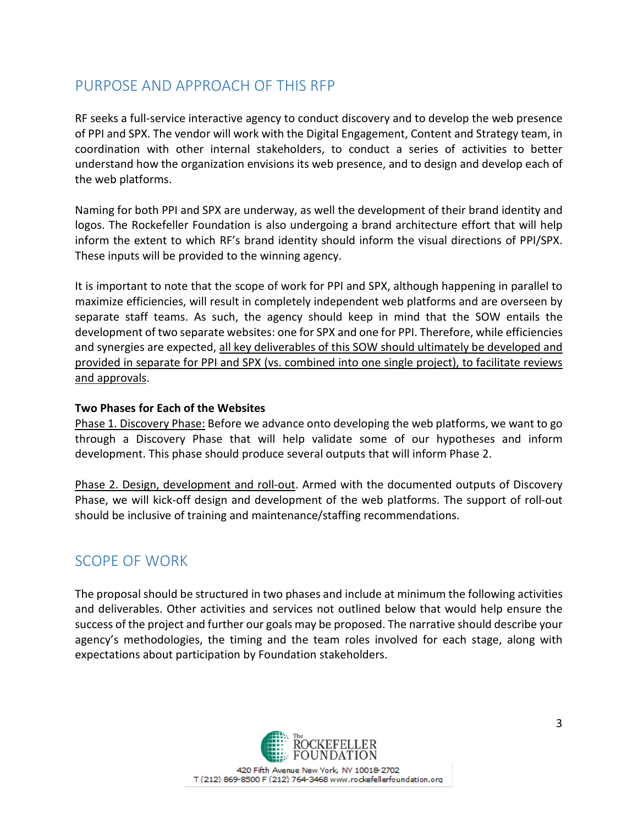# PURPOSE AND APPROACH OF THIS RFP

RF seeks a full-service interactive agency to conduct discovery and to develop the web presence of PPI and SPX. The vendor will work with the Digital Engagement, Content and Strategy team, in coordination with other internal stakeholders, to conduct a series of activities to better understand how the organization envisions its web presence, and to design and develop each of the web platforms.

Naming for both PPI and SPX are underway, as well the development of their brand identity and logos. The Rockefeller Foundation is also undergoing a brand architecture effort that will help inform the extent to which RF's brand identity should inform the visual directions of PPI/SPX. These inputs will be provided to the winning agency.

It is important to note that the scope of work for PPI and SPX, although happening in parallel to maximize efficiencies, will result in completely independent web platforms and are overseen by separate staff teams. As such, the agency should keep in mind that the SOW entails the development of two separate websites: one for SPX and one for PPI. Therefore, while efficiencies and synergies are expected, all key deliverables of this SOW should ultimately be developed and provided in separate for PPI and SPX (vs. combined into one single project), to facilitate reviews and approvals.

### **Two Phases for Each of the Websites**

Phase 1. Discovery Phase: Before we advance onto developing the web platforms, we want to go through a Discovery Phase that will help validate some of our hypotheses and inform development. This phase should produce several outputs that will inform Phase 2.

Phase 2. Design, development and roll-out. Armed with the documented outputs of Discovery Phase, we will kick-off design and development of the web platforms. The support of roll-out should be inclusive of training and maintenance/staffing recommendations.

### SCOPE OF WORK

The proposal should be structured in two phases and include at minimum the following activities and deliverables. Other activities and services not outlined below that would help ensure the success of the project and further our goals may be proposed. The narrative should describe your agency's methodologies, the timing and the team roles involved for each stage, along with expectations about participation by Foundation stakeholders.

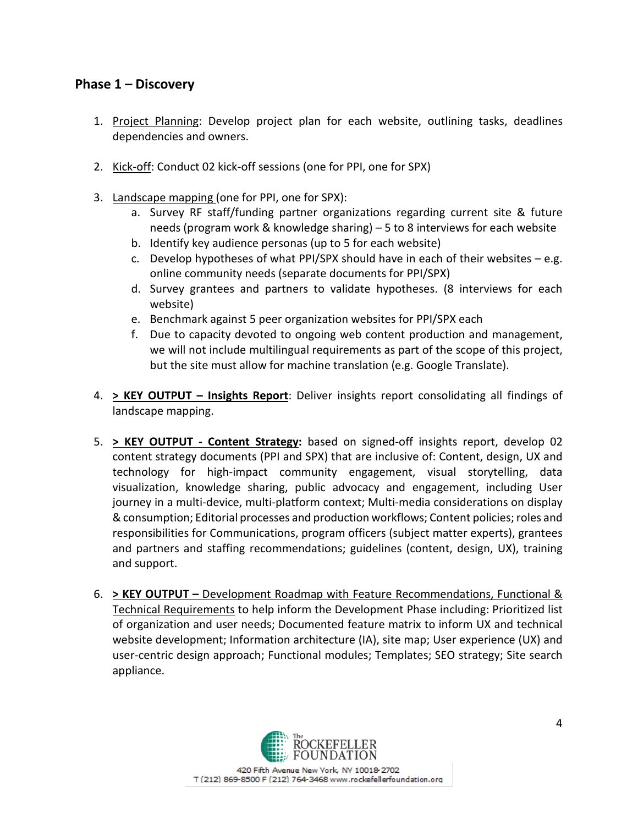### **Phase 1 – Discovery**

- 1. Project Planning: Develop project plan for each website, outlining tasks, deadlines dependencies and owners.
- 2. Kick-off: Conduct 02 kick-off sessions (one for PPI, one for SPX)
- 3. Landscape mapping (one for PPI, one for SPX):
	- a. Survey RF staff/funding partner organizations regarding current site & future needs (program work & knowledge sharing) – 5 to 8 interviews for each website
	- b. Identify key audience personas (up to 5 for each website)
	- c. Develop hypotheses of what PPI/SPX should have in each of their websites  $-e.g.$ online community needs (separate documents for PPI/SPX)
	- d. Survey grantees and partners to validate hypotheses. (8 interviews for each website)
	- e. Benchmark against 5 peer organization websites for PPI/SPX each
	- f. Due to capacity devoted to ongoing web content production and management, we will not include multilingual requirements as part of the scope of this project, but the site must allow for machine translation (e.g. Google Translate).
- 4. **> KEY OUTPUT – Insights Report**: Deliver insights report consolidating all findings of landscape mapping.
- 5. **> KEY OUTPUT - Content Strategy:** based on signed-off insights report, develop 02 content strategy documents (PPI and SPX) that are inclusive of: Content, design, UX and technology for high-impact community engagement, visual storytelling, data visualization, knowledge sharing, public advocacy and engagement, including User journey in a multi-device, multi-platform context; Multi-media considerations on display & consumption; Editorial processes and production workflows; Content policies; roles and responsibilities for Communications, program officers (subject matter experts), grantees and partners and staffing recommendations; guidelines (content, design, UX), training and support.
- 6. **> KEY OUTPUT –** Development Roadmap with Feature Recommendations, Functional & Technical Requirements to help inform the Development Phase including: Prioritized list of organization and user needs; Documented feature matrix to inform UX and technical website development; Information architecture (IA), site map; User experience (UX) and user-centric design approach; Functional modules; Templates; SEO strategy; Site search appliance.

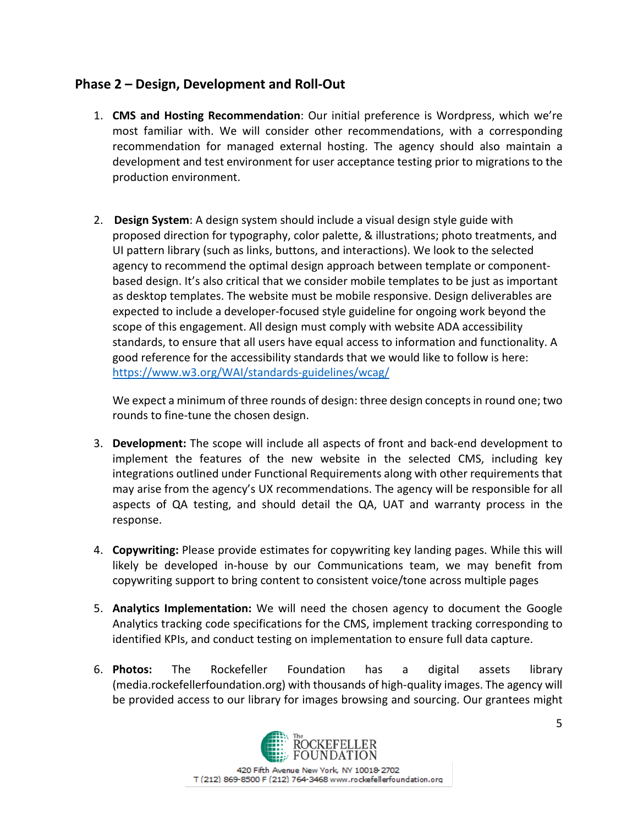### **Phase 2 – Design, Development and Roll-Out**

- 1. **CMS and Hosting Recommendation**: Our initial preference is Wordpress, which we're most familiar with. We will consider other recommendations, with a corresponding recommendation for managed external hosting. The agency should also maintain a development and test environment for user acceptance testing prior to migrations to the production environment.
- 2. **Design System**: A design system should include a visual design style guide with proposed direction for typography, color palette, & illustrations; photo treatments, and UI pattern library (such as links, buttons, and interactions). We look to the selected agency to recommend the optimal design approach between template or componentbased design. It's also critical that we consider mobile templates to be just as important as desktop templates. The website must be mobile responsive. Design deliverables are expected to include a developer-focused style guideline for ongoing work beyond the scope of this engagement. All design must comply with website ADA accessibility standards, to ensure that all users have equal access to information and functionality. A good reference for the accessibility standards that we would like to follow is here: <https://www.w3.org/WAI/standards-guidelines/wcag/>

We expect a minimum of three rounds of design: three design concepts in round one; two rounds to fine-tune the chosen design.

- 3. **Development:** The scope will include all aspects of front and back-end development to implement the features of the new website in the selected CMS, including key integrations outlined under Functional Requirements along with other requirements that may arise from the agency's UX recommendations. The agency will be responsible for all aspects of QA testing, and should detail the QA, UAT and warranty process in the response.
- 4. **Copywriting:** Please provide estimates for copywriting key landing pages. While this will likely be developed in-house by our Communications team, we may benefit from copywriting support to bring content to consistent voice/tone across multiple pages
- 5. **Analytics Implementation:** We will need the chosen agency to document the Google Analytics tracking code specifications for the CMS, implement tracking corresponding to identified KPIs, and conduct testing on implementation to ensure full data capture.
- 6. **Photos:** The Rockefeller Foundation has a digital assets library (media.rockefellerfoundation.org) with thousands of high-quality images. The agency will be provided access to our library for images browsing and sourcing. Our grantees might

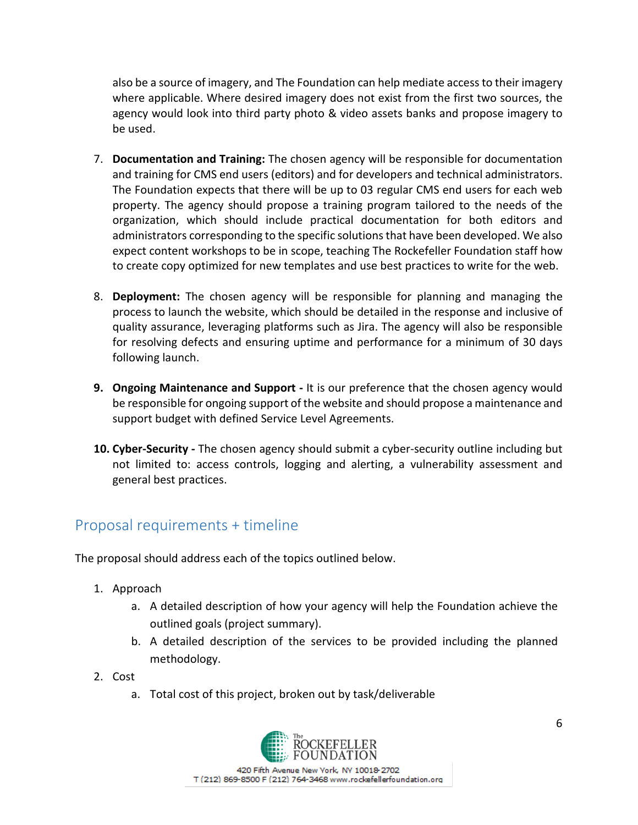also be a source of imagery, and The Foundation can help mediate access to their imagery where applicable. Where desired imagery does not exist from the first two sources, the agency would look into third party photo & video assets banks and propose imagery to be used.

- 7. **Documentation and Training:** The chosen agency will be responsible for documentation and training for CMS end users (editors) and for developers and technical administrators. The Foundation expects that there will be up to 03 regular CMS end users for each web property. The agency should propose a training program tailored to the needs of the organization, which should include practical documentation for both editors and administrators corresponding to the specific solutions that have been developed. We also expect content workshops to be in scope, teaching The Rockefeller Foundation staff how to create copy optimized for new templates and use best practices to write for the web.
- 8. **Deployment:** The chosen agency will be responsible for planning and managing the process to launch the website, which should be detailed in the response and inclusive of quality assurance, leveraging platforms such as Jira. The agency will also be responsible for resolving defects and ensuring uptime and performance for a minimum of 30 days following launch.
- **9. Ongoing Maintenance and Support -** It is our preference that the chosen agency would be responsible for ongoing support of the website and should propose a maintenance and support budget with defined Service Level Agreements.
- **10. Cyber-Security -** The chosen agency should submit a cyber-security outline including but not limited to: access controls, logging and alerting, a vulnerability assessment and general best practices.

# Proposal requirements + timeline

The proposal should address each of the topics outlined below.

- 1. Approach
	- a. A detailed description of how your agency will help the Foundation achieve the outlined goals (project summary).
	- b. A detailed description of the services to be provided including the planned methodology.
- 2. Cost
	- a. Total cost of this project, broken out by task/deliverable

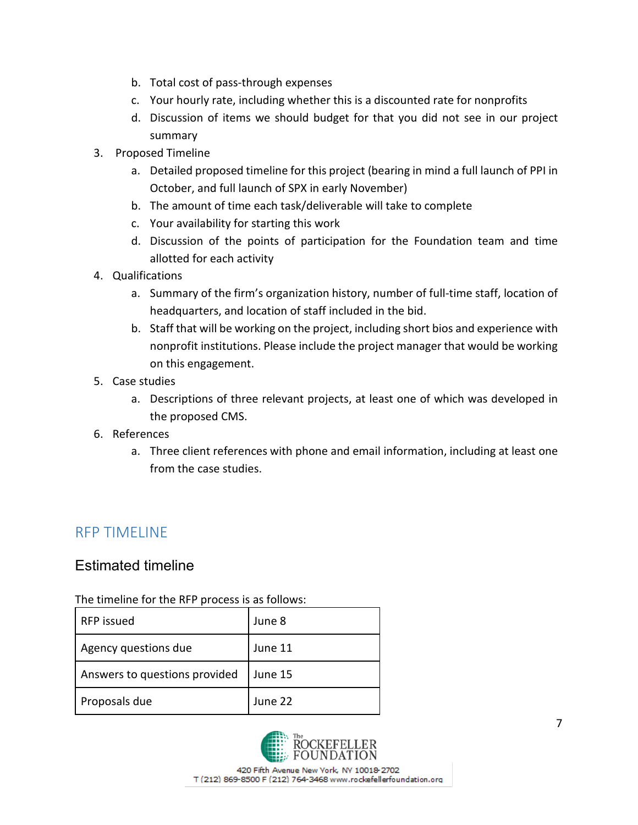- b. Total cost of pass-through expenses
- c. Your hourly rate, including whether this is a discounted rate for nonprofits
- d. Discussion of items we should budget for that you did not see in our project summary
- 3. Proposed Timeline
	- a. Detailed proposed timeline for this project (bearing in mind a full launch of PPI in October, and full launch of SPX in early November)
	- b. The amount of time each task/deliverable will take to complete
	- c. Your availability for starting this work
	- d. Discussion of the points of participation for the Foundation team and time allotted for each activity
- 4. Qualifications
	- a. Summary of the firm's organization history, number of full-time staff, location of headquarters, and location of staff included in the bid.
	- b. Staff that will be working on the project, including short bios and experience with nonprofit institutions. Please include the project manager that would be working on this engagement.
- 5. Case studies
	- a. Descriptions of three relevant projects, at least one of which was developed in the proposed CMS.
- 6. References
	- a. Three client references with phone and email information, including at least one from the case studies.

# RFP TIMELINE

### Estimated timeline

The timeline for the RFP process is as follows:

| RFP issued                    | June 8  |
|-------------------------------|---------|
| Agency questions due          | June 11 |
| Answers to questions provided | June 15 |
| Proposals due                 | June 22 |

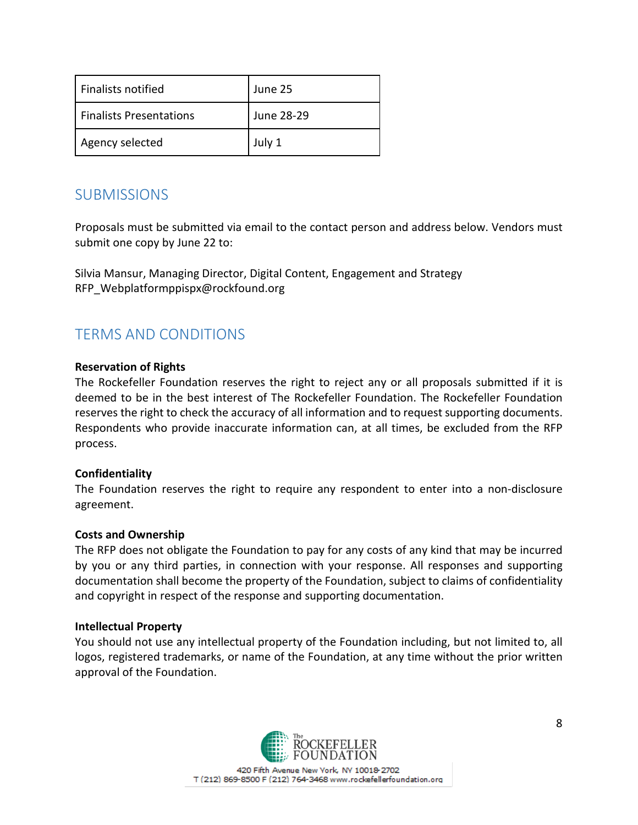| <b>Finalists notified</b>      | June 25    |
|--------------------------------|------------|
| <b>Finalists Presentations</b> | June 28-29 |
| Agency selected                | July 1     |

## **SUBMISSIONS**

Proposals must be submitted via email to the contact person and address below. Vendors must submit one copy by June 22 to:

Silvia Mansur, Managing Director, Digital Content, Engagement and Strategy RFP\_Webplatformppispx@rockfound.org

# TERMS AND CONDITIONS

### **Reservation of Rights**

The Rockefeller Foundation reserves the right to reject any or all proposals submitted if it is deemed to be in the best interest of The Rockefeller Foundation. The Rockefeller Foundation reserves the right to check the accuracy of all information and to request supporting documents. Respondents who provide inaccurate information can, at all times, be excluded from the RFP process.

### **Confidentiality**

The Foundation reserves the right to require any respondent to enter into a non-disclosure agreement.

#### **Costs and Ownership**

The RFP does not obligate the Foundation to pay for any costs of any kind that may be incurred by you or any third parties, in connection with your response. All responses and supporting documentation shall become the property of the Foundation, subject to claims of confidentiality and copyright in respect of the response and supporting documentation.

#### **Intellectual Property**

You should not use any intellectual property of the Foundation including, but not limited to, all logos, registered trademarks, or name of the Foundation, at any time without the prior written approval of the Foundation.